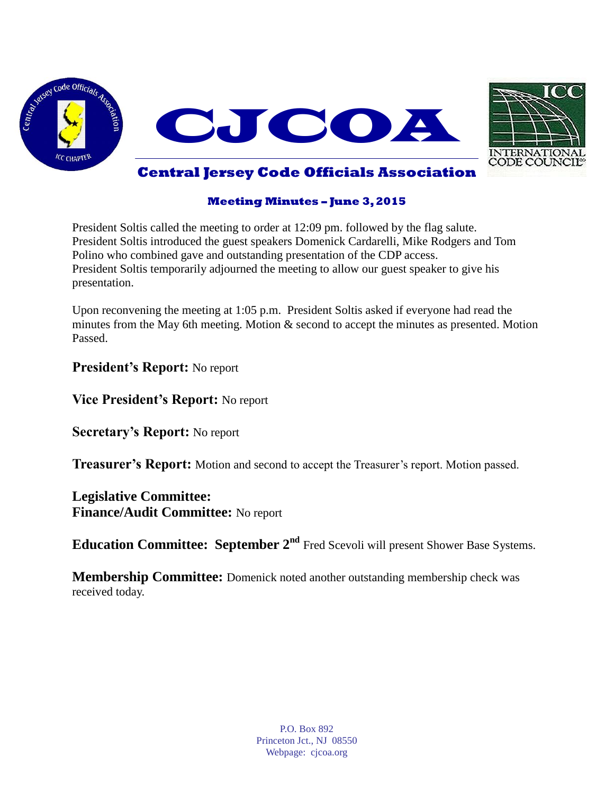



### **Meeting Minutes – June 3, 2015**

President Soltis called the meeting to order at 12:09 pm. followed by the flag salute. President Soltis introduced the guest speakers Domenick Cardarelli, Mike Rodgers and Tom Polino who combined gave and outstanding presentation of the CDP access. President Soltis temporarily adjourned the meeting to allow our guest speaker to give his presentation.

Upon reconvening the meeting at 1:05 p.m. President Soltis asked if everyone had read the minutes from the May 6th meeting. Motion & second to accept the minutes as presented. Motion Passed.

**President's Report:** No report

**Vice President's Report:** No report

**Secretary's Report:** No report

**Treasurer's Report:** Motion and second to accept the Treasurer's report. Motion passed.

**Legislative Committee: Finance/Audit Committee:** No report

**Education Committee: September 2<sup>nd</sup>** Fred Scevoli will present Shower Base Systems.

**Membership Committee:** Domenick noted another outstanding membership check was received today.

> P.O. Box 892 Princeton Jct., NJ 08550 Webpage: cjcoa.org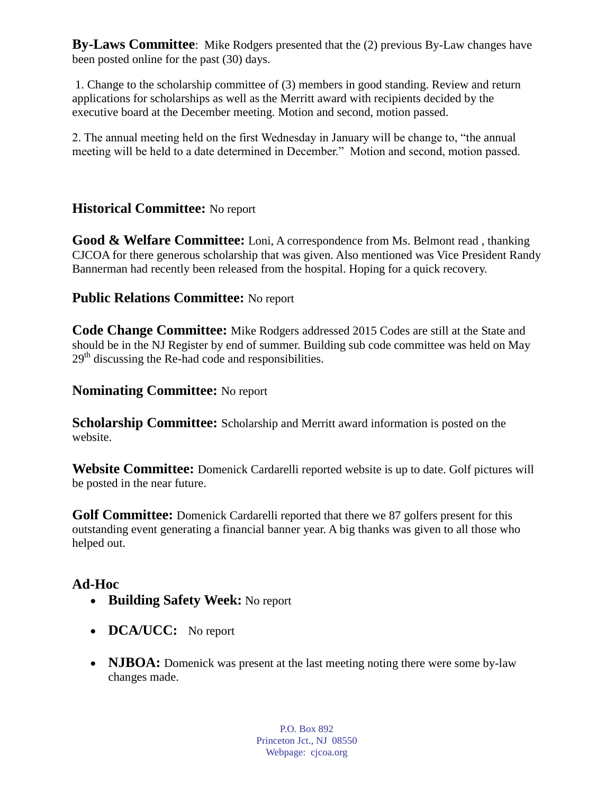**By-Laws Committee**: Mike Rodgers presented that the (2) previous By-Law changes have been posted online for the past (30) days.

1. Change to the scholarship committee of (3) members in good standing. Review and return applications for scholarships as well as the Merritt award with recipients decided by the executive board at the December meeting. Motion and second, motion passed.

2. The annual meeting held on the first Wednesday in January will be change to, "the annual meeting will be held to a date determined in December." Motion and second, motion passed.

# **Historical Committee:** No report

**Good & Welfare Committee:** Loni, A correspondence from Ms. Belmont read , thanking CJCOA for there generous scholarship that was given. Also mentioned was Vice President Randy Bannerman had recently been released from the hospital. Hoping for a quick recovery.

## **Public Relations Committee:** No report

**Code Change Committee:** Mike Rodgers addressed 2015 Codes are still at the State and should be in the NJ Register by end of summer. Building sub code committee was held on May  $29<sup>th</sup>$  discussing the Re-had code and responsibilities.

## **Nominating Committee:** No report

**Scholarship Committee:** Scholarship and Merritt award information is posted on the website.

**Website Committee:** Domenick Cardarelli reported website is up to date. Golf pictures will be posted in the near future.

Golf Committee: Domenick Cardarelli reported that there we 87 golfers present for this outstanding event generating a financial banner year. A big thanks was given to all those who helped out.

# **Ad-Hoc**

- **Building Safety Week:** No report
- **DCA/UCC:** No report
- **NJBOA:** Domenick was present at the last meeting noting there were some by-law changes made.

P.O. Box 892 Princeton Jct., NJ 08550 Webpage: cjcoa.org